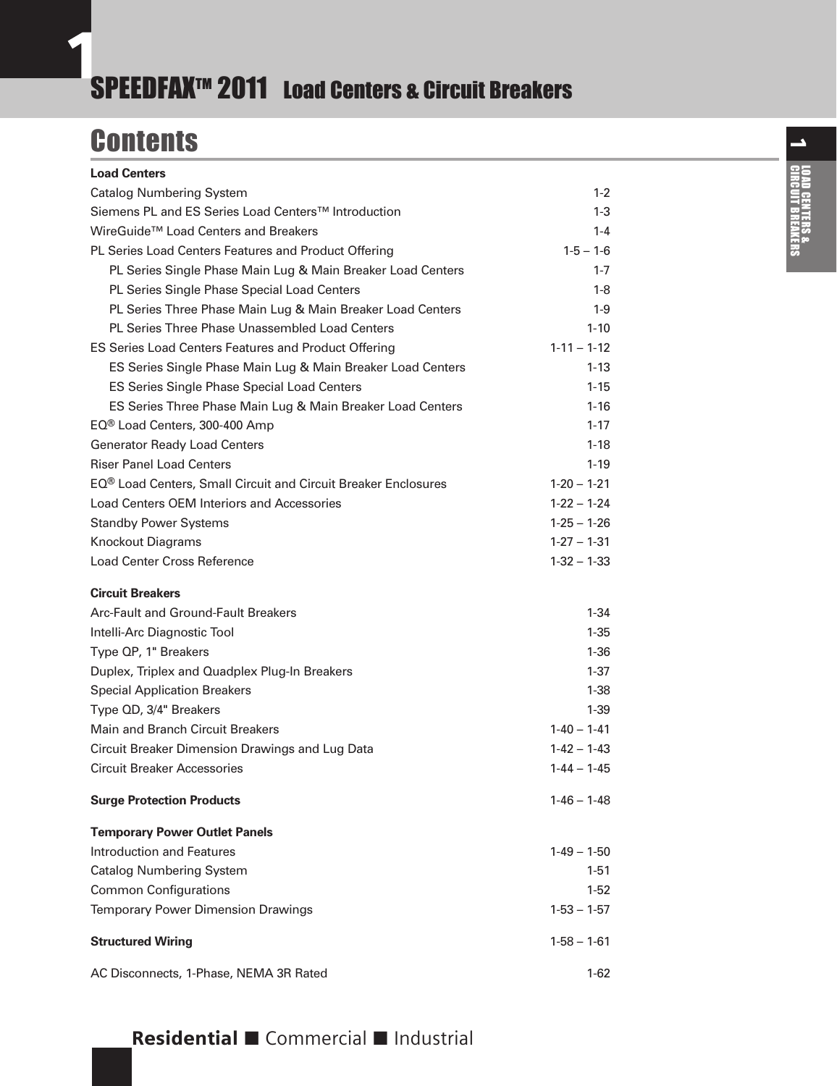# <span id="page-0-0"></span>SPEEDFAX<sup>™</sup> 2011 Load Centers & Circuit Breakers

## **Contents Load Centers**

| <b>Load Centers</b>                                                        |                   |
|----------------------------------------------------------------------------|-------------------|
| <b>Catalog Numbering System</b>                                            | $1-2$             |
| Siemens PL and ES Series Load Centers™ Introduction                        | $1-3$             |
| WireGuide <sup>™</sup> Load Centers and Breakers                           | $1 - 4$           |
| PL Series Load Centers Features and Product Offering                       | $1 - 5 - 1 - 6$   |
| PL Series Single Phase Main Lug & Main Breaker Load Centers                | $1 - 7$           |
| PL Series Single Phase Special Load Centers                                | 1-8               |
| PL Series Three Phase Main Lug & Main Breaker Load Centers                 | $1-9$             |
| <b>PL Series Three Phase Unassembled Load Centers</b>                      | $1 - 10$          |
| <b>ES Series Load Centers Features and Product Offering</b>                | $1 - 11 - 1 - 12$ |
| ES Series Single Phase Main Lug & Main Breaker Load Centers                | $1 - 13$          |
| ES Series Single Phase Special Load Centers                                | $1 - 15$          |
| ES Series Three Phase Main Lug & Main Breaker Load Centers                 | $1 - 16$          |
| EQ® Load Centers, 300-400 Amp                                              | $1 - 17$          |
| <b>Generator Ready Load Centers</b>                                        | $1-18$            |
| <b>Riser Panel Load Centers</b>                                            | $1 - 19$          |
| EQ <sup>®</sup> Load Centers, Small Circuit and Circuit Breaker Enclosures | $1-20 - 1-21$     |
| Load Centers OEM Interiors and Accessories                                 | $1-22 - 1-24$     |
| <b>Standby Power Systems</b>                                               | $1-25 - 1-26$     |
| <b>Knockout Diagrams</b>                                                   | $1 - 27 - 1 - 31$ |
| <b>Load Center Cross Reference</b>                                         | $1-32 - 1-33$     |
| <b>Circuit Breakers</b>                                                    |                   |
| Arc-Fault and Ground-Fault Breakers                                        | 1-34              |
| Intelli-Arc Diagnostic Tool                                                | $1-35$            |
| Type QP, 1" Breakers                                                       | $1 - 36$          |
| Duplex, Triplex and Quadplex Plug-In Breakers                              | $1-37$            |
| <b>Special Application Breakers</b>                                        | $1-38$            |
| Type QD, 3/4" Breakers                                                     | $1-39$            |
| <b>Main and Branch Circuit Breakers</b>                                    | $1 - 40 - 1 - 41$ |
| Circuit Breaker Dimension Drawings and Lug Data                            | $1 - 42 - 1 - 43$ |
| <b>Circuit Breaker Accessories</b>                                         | $1 - 44 - 1 - 45$ |
| <b>Surge Protection Products</b>                                           | $1-46 - 1-48$     |
| <b>Temporary Power Outlet Panels</b>                                       |                   |
| <b>Introduction and Features</b>                                           | $1-49 - 1-50$     |
| <b>Catalog Numbering System</b>                                            | $1 - 51$          |
| <b>Common Configurations</b>                                               | 1-52              |
| <b>Temporary Power Dimension Drawings</b>                                  | $1-53 - 1-57$     |
| <b>Structured Wiring</b>                                                   | $1-58 - 1-61$     |
| AC Disconnects, 1-Phase, NEMA 3R Rated                                     | $1-62$            |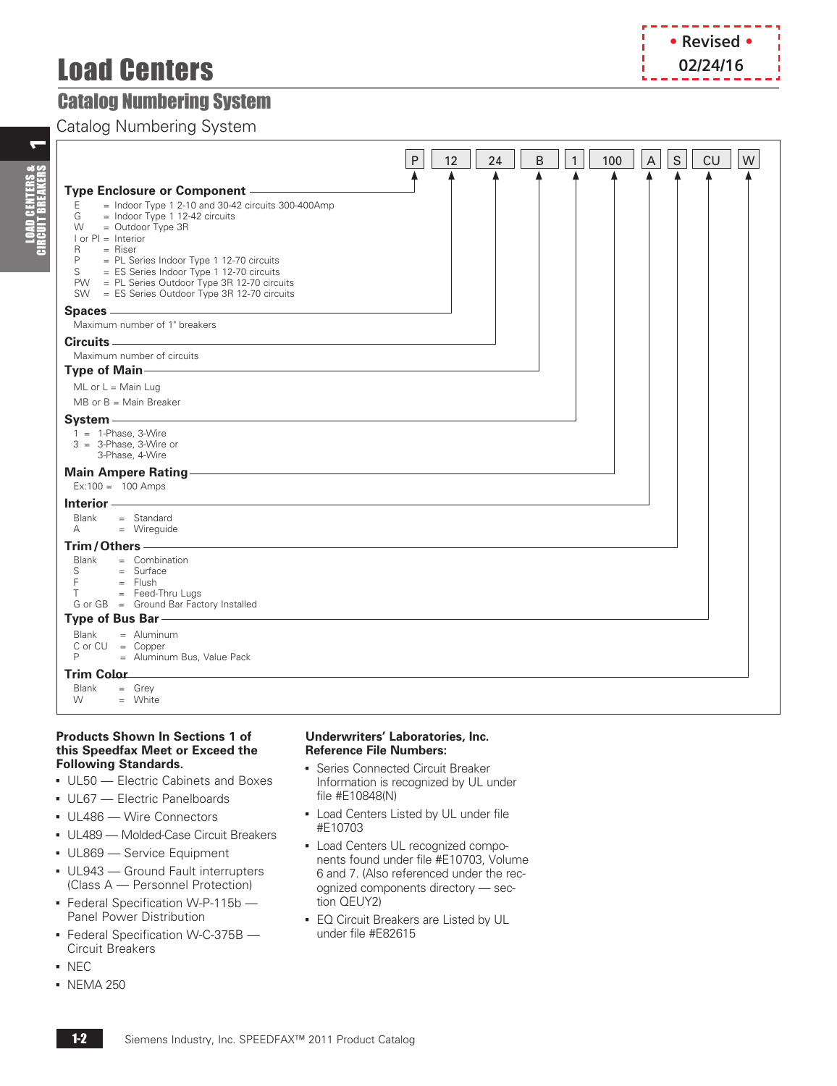# Load Centers

## <span id="page-1-0"></span>Catalog Numbering System

Catalog Numbering System

|                                                                                                                                                                                                                                                                                                                                                                                | P<br>12 | 24 | B | $\mathbf{1}$ | 100 | $\mathsf{S}$<br>A | CU | W |
|--------------------------------------------------------------------------------------------------------------------------------------------------------------------------------------------------------------------------------------------------------------------------------------------------------------------------------------------------------------------------------|---------|----|---|--------------|-----|-------------------|----|---|
| $=$ Indoor Type 1 2-10 and 30-42 circuits 300-400Amp<br>Ε<br>$=$ Indoor Type 1 12-42 circuits<br>G<br>$=$ Outdoor Type 3R<br>W<br>$I$ or $PI =$ Interior<br>$=$ Riser<br>R<br>P<br>= PL Series Indoor Type 1 12-70 circuits<br>S<br>= ES Series Indoor Type 1 12-70 circuits<br>PW = PL Series Outdoor Type 3R 12-70 circuits<br>SW = ES Series Outdoor Type 3R 12-70 circuits |         |    |   |              |     |                   |    |   |
|                                                                                                                                                                                                                                                                                                                                                                                |         |    |   |              |     |                   |    |   |
| Maximum number of 1" breakers                                                                                                                                                                                                                                                                                                                                                  |         |    |   |              |     |                   |    |   |
|                                                                                                                                                                                                                                                                                                                                                                                |         |    |   |              |     |                   |    |   |
| Maximum number of circuits                                                                                                                                                                                                                                                                                                                                                     |         |    |   |              |     |                   |    |   |
| Type of Main-                                                                                                                                                                                                                                                                                                                                                                  |         |    |   |              |     |                   |    |   |
| $ML$ or $L = Main$ Luq                                                                                                                                                                                                                                                                                                                                                         |         |    |   |              |     |                   |    |   |
| $MB$ or $B = Main Breaker$                                                                                                                                                                                                                                                                                                                                                     |         |    |   |              |     |                   |    |   |
| $1 = 1$ -Phase, 3-Wire<br>$3 = 3$ -Phase, 3-Wire or<br>3-Phase, 4-Wire                                                                                                                                                                                                                                                                                                         |         |    |   |              |     |                   |    |   |
| Main Ampere Rating - Maintenance and Main Ampere Rating - Maintenance and Maintenance and Maintenance and Main<br>$Ex:100 = 100$ Amps                                                                                                                                                                                                                                          |         |    |   |              |     |                   |    |   |
| Interior -<br>Blank<br>$=$ Standard<br>$=$ Wirequide<br>$\mathsf{A}$                                                                                                                                                                                                                                                                                                           |         |    |   |              |     |                   |    |   |
| Trim/Others-                                                                                                                                                                                                                                                                                                                                                                   |         |    |   |              |     |                   |    |   |
| Blank<br>$=$ Combination<br>$=$ Surface<br>$S \qquad \qquad$<br>F<br>$=$ Flush<br>$=$ Feed-Thru Lugs<br>T.<br>G or GB = Ground Bar Factory Installed                                                                                                                                                                                                                           |         |    |   |              |     |                   |    |   |
| Type of Bus Bar - Type of Business                                                                                                                                                                                                                                                                                                                                             |         |    |   |              |     |                   |    |   |
| <b>Blank</b><br>$=$ Aluminum<br>$C$ or $CU = Copper$<br>P<br>= Aluminum Bus, Value Pack                                                                                                                                                                                                                                                                                        |         |    |   |              |     |                   |    |   |
| <b>Trim Color</b>                                                                                                                                                                                                                                                                                                                                                              |         |    |   |              |     |                   |    |   |
| Blank<br>$=$ Grey<br>W<br>$=$ White                                                                                                                                                                                                                                                                                                                                            |         |    |   |              |     |                   |    |   |

#### **Products Shown In Sections 1 of this Speedfax Meet or Exceed the Following Standards.**

- UL50 Electric Cabinets and Boxes
- UL67 Electric Panelboards
- UL486 Wire Connectors
- UL489 Molded-Case Circuit Breakers
- **UL869 Service Equipment**
- UL943 Ground Fault interrupters (Class A — Personnel Protection)
- **Federal Specification W-P-115b** Panel Power Distribution
- **Federal Specification W-C-375B** Circuit Breakers
- NEC
- NEMA 250

#### **Underwriters' Laboratories, Inc. Reference File Numbers:**

- **Series Connected Circuit Breaker** Information is recognized by UL under file #E10848(N)
- **Load Centers Listed by UL under file** #E10703
- Load Centers UL recognized components found under file #E10703, Volume 6 and 7. (Also referenced under the recognized components directory — section QEUY2)
- **EQ Circuit Breakers are Listed by UL** under file #E82615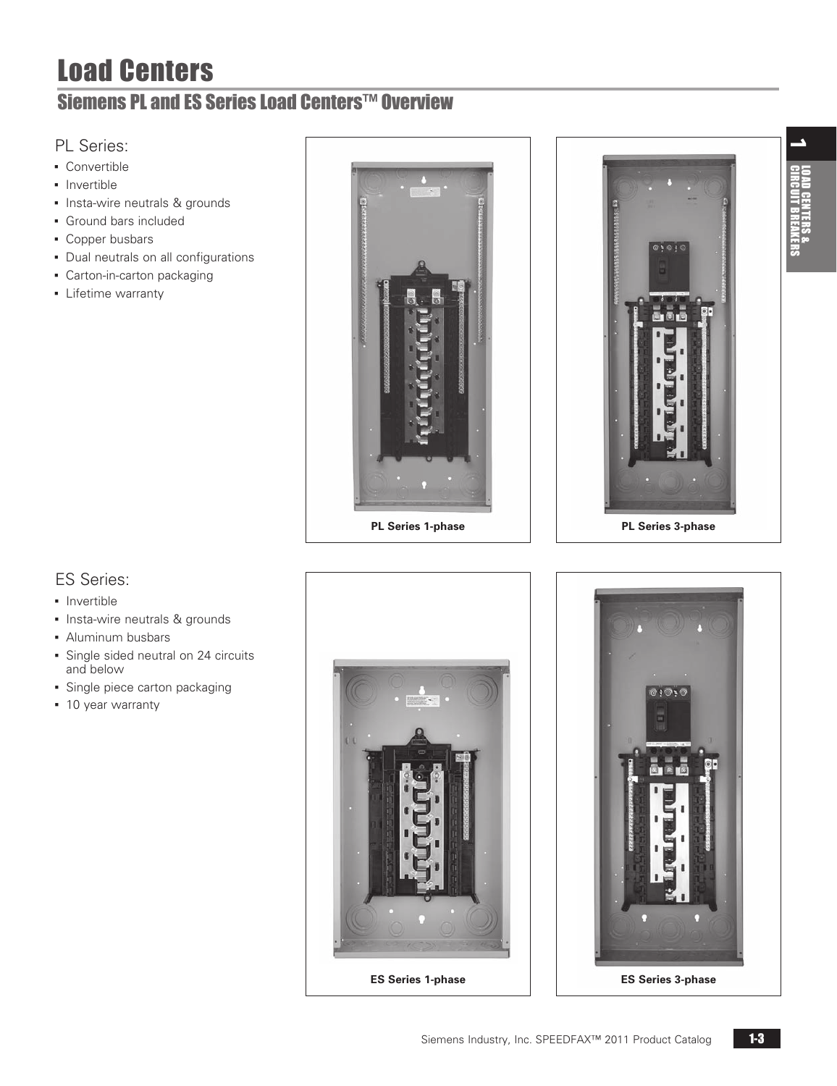# Load Centers

## <span id="page-2-0"></span>Siemens PL and ES Series Load Centers™ Overview

### PL Series:

- Convertible
- **•** Invertible
- **·** Insta-wire neutrals & grounds
- **Ground bars included**
- Copper busbars
- Dual neutrals on all configurations
- Carton-in-carton packaging
- **•** Lifetime warranty





## ES Series:

- **·** Invertible
- **.** Insta-wire neutrals & grounds
- **Aluminum busbars**
- **Single sided neutral on 24 circuits** and below
- **·** Single piece carton packaging
- 10 year warranty



**ES Series 1-phase**

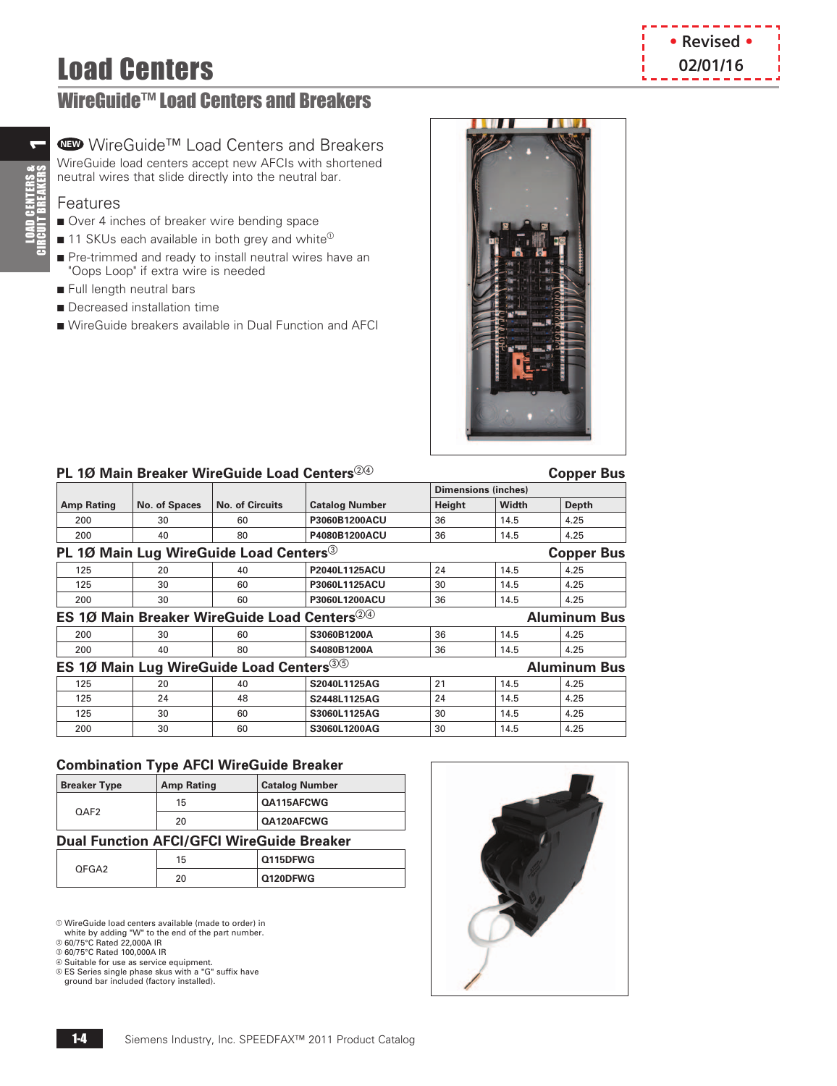# **Load Centers by the contract of the contract of the contract of the contract of the contract of the contract of the contract of the contract of the contract of the contract of the contract of the contract of the contrac**

## <span id="page-3-0"></span>WireGuide™ Load Centers and Breakers

## **NEW** WireGuide™ Load Centers and Breakers

WireGuide load centers accept new AFCIs with shortened neutral wires that slide directly into the neutral bar.

### Features

 $\blacktriangledown$ 

**LOAD CENTERS &<br>CIRCUIT BREAKERS** 

- Over 4 inches of breaker wire bending space
- $\blacksquare$  11 SKUs each available in both grey and white<sup> $\heartsuit$ </sup>
- Pre-trimmed and ready to install neutral wires have an "Oops Loop" if extra wire is needed
- Full length neutral bars
- **n** Decreased installation time
- n WireGuide breakers available in Dual Function and AFCI





### **PL 1Ø Main Breaker WireGuide Load Centers**  $\mathbb{Q}^{\odot}$  **Copper Bus Copper Bus**

|                                                                            |                                                                         |                                                         |                       | <b>Dimensions (inches)</b> |       |                     |  |  |
|----------------------------------------------------------------------------|-------------------------------------------------------------------------|---------------------------------------------------------|-----------------------|----------------------------|-------|---------------------|--|--|
| <b>Amp Rating</b>                                                          | No. of Spaces                                                           | <b>No. of Circuits</b>                                  | <b>Catalog Number</b> | Height                     | Width | Depth               |  |  |
| 200                                                                        | 30                                                                      | 60                                                      | P3060B1200ACU         | 36                         | 14.5  | 4.25                |  |  |
| 200                                                                        | 40                                                                      | 80                                                      | P4080B1200ACU         | 36                         | 14.5  | 4.25                |  |  |
|                                                                            | PL 10 Main Lug WireGuide Load Centers <sup>3</sup><br><b>Copper Bus</b> |                                                         |                       |                            |       |                     |  |  |
| 125                                                                        | 20                                                                      | 40                                                      | P2040L1125ACU         | 24                         | 14.5  | 4.25                |  |  |
| 125                                                                        | 30                                                                      | 60                                                      | P3060L1125ACU         | 30                         | 14.5  | 4.25                |  |  |
| 200                                                                        | 30                                                                      | 60                                                      | P3060L1200ACU         | 36                         | 14.5  | 4.25                |  |  |
|                                                                            |                                                                         | ES 10 Main Breaker WireGuide Load Centers <sup>24</sup> |                       |                            |       | <b>Aluminum Bus</b> |  |  |
| 200                                                                        | 30                                                                      | 60                                                      | S3060B1200A           | 36                         | 14.5  | 4.25                |  |  |
| 200                                                                        | 40                                                                      | 80                                                      | S4080B1200A           | 36                         | 14.5  | 4.25                |  |  |
| ES 10 Main Lug WireGuide Load Centers <sup>35</sup><br><b>Aluminum Bus</b> |                                                                         |                                                         |                       |                            |       |                     |  |  |
| 125                                                                        | 20                                                                      | 40                                                      | S2040L1125AG          | 21                         | 14.5  | 4.25                |  |  |
| 125                                                                        | 24                                                                      | 48                                                      | S2448L1125AG          | 24                         | 14.5  | 4.25                |  |  |
| 125                                                                        | 30                                                                      | 60                                                      | S3060L1125AG          | 30                         | 14.5  | 4.25                |  |  |
| 200                                                                        | 30                                                                      | 60                                                      | S3060L1200AG          | 30                         | 14.5  | 4.25                |  |  |

#### **Combination Type AFCI WireGuide Breaker**

| <b>Breaker Type</b>                              | <b>Amp Rating</b> | <b>Catalog Number</b> |  |  |  |
|--------------------------------------------------|-------------------|-----------------------|--|--|--|
| OAF <sub>2</sub>                                 | 15                | QA115AFCWG            |  |  |  |
|                                                  | 20                | QA120AFCWG            |  |  |  |
| <b>Dual Function AFCI/GFCI WireGuide Breaker</b> |                   |                       |  |  |  |

| OFGA2 | 15       | Q115DFWG |  |
|-------|----------|----------|--|
|       | າດ<br>zu | Q120DFWG |  |

 $@$  WireGuide load centers available (made to order) in

c 60/75°C Rated 100,000A IR

d Suitable for use as service equipment. e ES Series single phase skus with a "G" suffix have ground bar included (factory installed).



white by adding "W" to the end of the part number.  $\circ$  60/75°C Rated 22,000A IR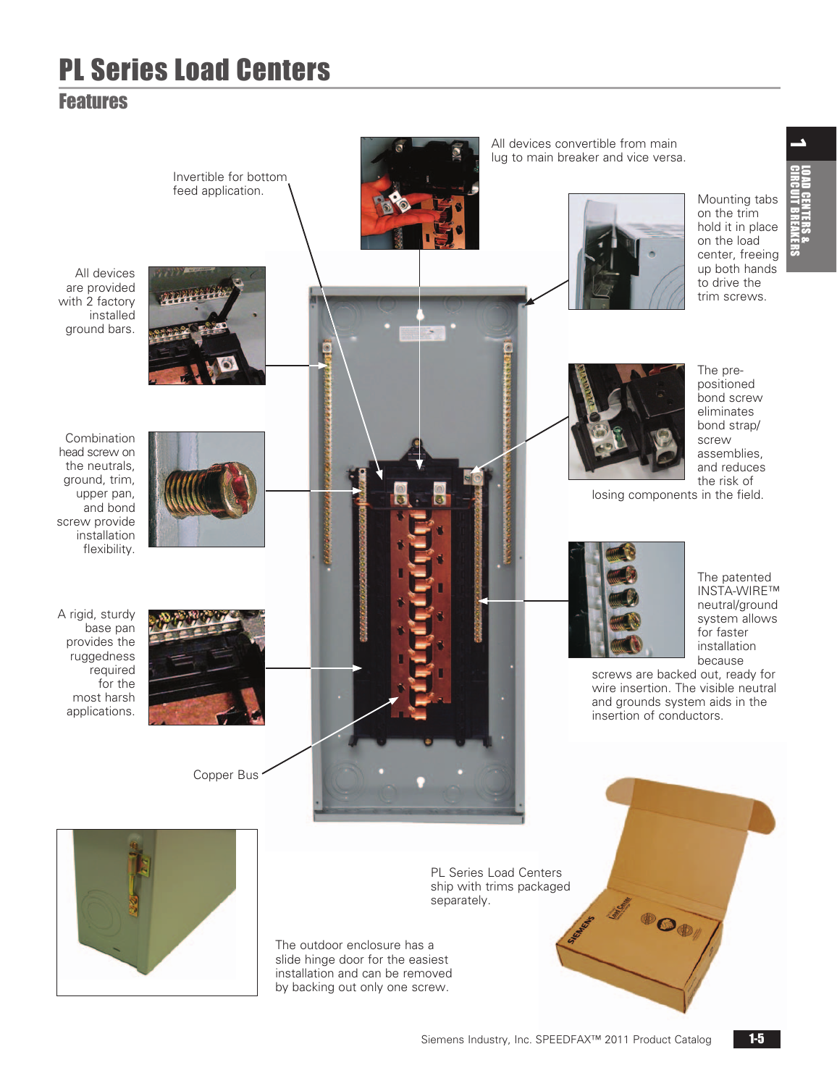# PL Series Load Centers

## <span id="page-4-0"></span>Features

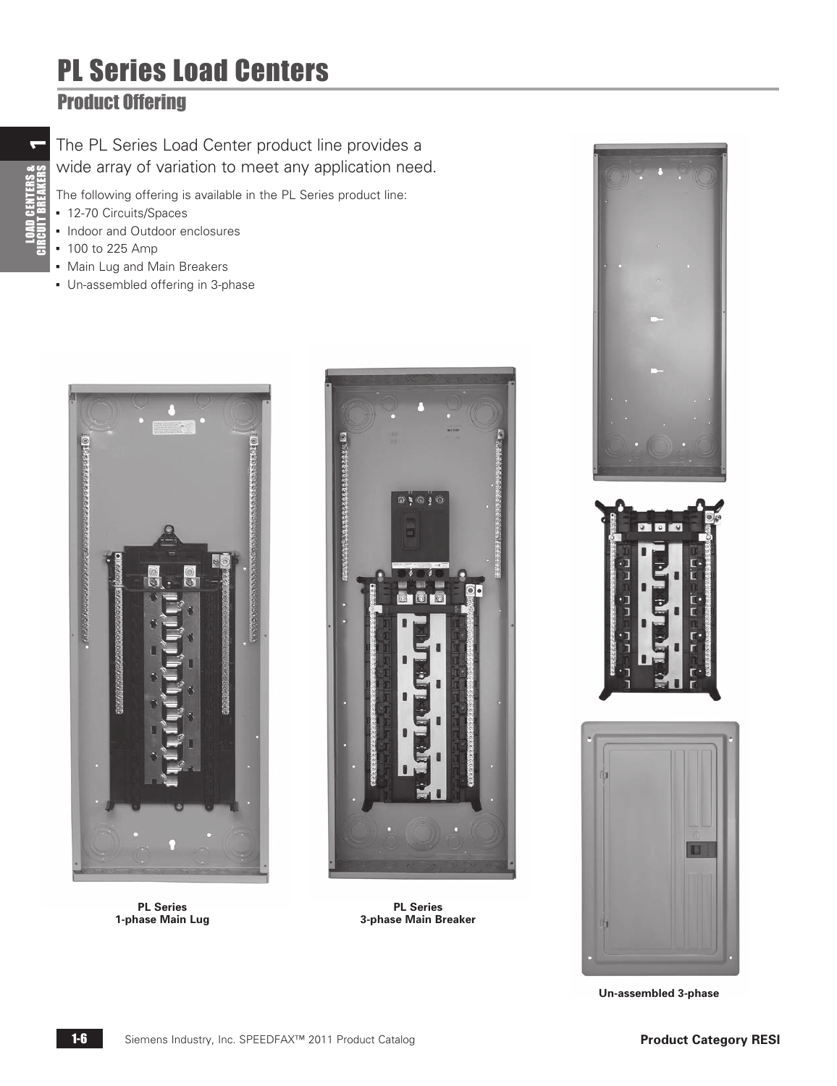# PL Series Load Centers

## <span id="page-5-0"></span>Product Offering

The PL Series Load Center product line provides a wide array of variation to meet any application need.

The following offering is available in the PL Series product line:

- 12-70 Circuits/Spaces
- Indoor and Outdoor enclosures
- 100 to 225 Amp
- Main Lug and Main Breakers
- **Un-assembled offering in 3-phase**



**PL Series 1-phase Main Lug**



**PL Series 3-phase Main Breaker**



**Un-assembled 3-phase**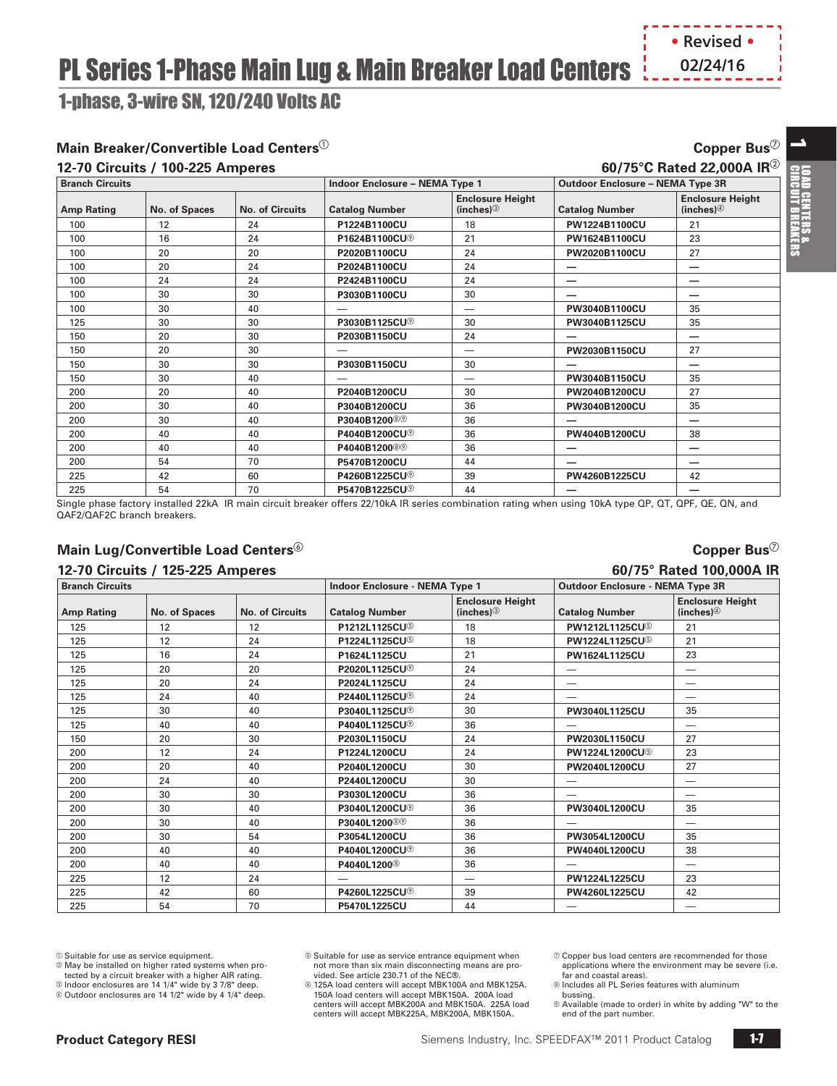# **PL Series 1-Phase Main Lug & Main Breaker Load Centers | 02/24/16**

<span id="page-6-0"></span>1-phase, 3-wire SN, 120/240 Volts AC

### **Main Breaker/Convertible Load Centers**  $^{\circ}$  **Copper Bus Copper Bus Copper Bus**  $^{\circ}$

#### **12-70 Circuits / 100-225 Amperes 60/75°C Rated 22,000A IR**<sup>b</sup>

| <b>Branch Circuits</b> |               |                        | <b>Indoor Enclosure - NEMA Type 1</b> |                                     | <b>Outdoor Enclosure - NEMA Type 3R</b> |                                                    |
|------------------------|---------------|------------------------|---------------------------------------|-------------------------------------|-----------------------------------------|----------------------------------------------------|
| <b>Amp Rating</b>      | No. of Spaces | <b>No. of Circuits</b> | <b>Catalog Number</b>                 | <b>Enclosure Height</b><br>(inches) | <b>Catalog Number</b>                   | <b>Enclosure Height</b><br>(inches) $\circledcirc$ |
| 100                    | 12            | 24                     | P1224B1100CU                          | 18                                  | PW1224B1100CU                           | 21                                                 |
| 100                    | 16            | 24                     | P1624B1100CU <sup>®</sup>             | 21                                  | PW1624B1100CU                           | 23                                                 |
| 100                    | 20            | 20                     | P2020B1100CU                          | 24                                  | PW2020B1100CU                           | 27                                                 |
| 100                    | 20            | 24                     | P2024B1100CU                          | 24                                  |                                         |                                                    |
| 100                    | 24            | 24                     | P2424B1100CU                          | 24                                  |                                         |                                                    |
| 100                    | 30            | 30                     | P3030B1100CU                          | 30                                  | _                                       |                                                    |
| 100                    | 30            | 40                     |                                       | $\overline{\phantom{0}}$            | PW3040B1100CU                           | 35                                                 |
| 125                    | 30            | 30                     | P3030B1125CU <sup>®</sup>             | 30                                  | PW3040B1125CU                           | 35                                                 |
| 150                    | 20            | 30                     | P2030B1150CU                          | 24                                  |                                         |                                                    |
| 150                    | 20            | 30                     |                                       |                                     | PW2030B1150CU                           | 27                                                 |
| 150                    | 30            | 30                     | P3030B1150CU                          | 30                                  | –                                       |                                                    |
| 150                    | 30            | 40                     |                                       | $\overline{\phantom{0}}$            | PW3040B1150CU                           | 35                                                 |
| 200                    | 20            | 40                     | P2040B1200CU                          | 30                                  | PW2040B1200CU                           | 27                                                 |
| 200                    | 30            | 40                     | P3040B1200CU                          | 36                                  | PW3040B1200CU                           | 35                                                 |
| 200                    | 30            | 40                     | P3040B1200 <sup>®</sup>               | 36                                  |                                         | —                                                  |
| 200                    | 40            | 40                     | P4040B1200CU <sup>®</sup>             | 36                                  | PW4040B1200CU                           | 38                                                 |
| 200                    | 40            | 40                     | P4040B1200 <sup>®</sup>               | 36                                  |                                         | —                                                  |
| 200                    | 54            | 70                     | P5470B1200CU                          | 44                                  |                                         | —                                                  |
| 225                    | 42            | 60                     | P4260B1225CU <sup>®</sup>             | 39                                  | PW4260B1225CU                           | 42                                                 |
| 225                    | 54            | 70                     | P5470B1225CU <sup>®</sup>             | 44                                  |                                         |                                                    |

Single phase factory installed 22kA IR main circuit breaker offers 22/10kA IR series combination rating when using 10kA type QP, QT, QPF, QE, QN, and QAF2/QAF2C branch breakers.

**Branch Circuits Indoor Enclosure - NEMA Type 1 Outdoor Enclosure - NEMA Type 3R**

#### **Main Lug/Convertible Load Centers**  ${}^{\circ}\!$  **Copper Bus Copper Bus Copper Bus Copper Bus Copper Bus Copper Bus Copper Bus Copper Bus Copper Bus Copper Bus Copper Bus Copper Bus Copper Bus Copper**

#### **12-70 Circuits / 125-225 Amperes 60/75° Rated 100,000A IR**

| Amp Rating | No. of Spaces | <b>No. of Circuits</b> | <b>Catalog Number</b>     | <b>Enclosure Height</b><br>(inches) | <b>Catalog Number</b>             | <b>Enclosure Height</b><br>(inches) $\circledcirc$ |
|------------|---------------|------------------------|---------------------------|-------------------------------------|-----------------------------------|----------------------------------------------------|
| 125        | 12            | 12                     | P1212L1125CU <sup>®</sup> | 18                                  | <b>PW1212L1125CU</b> <sup>©</sup> | 21                                                 |
| 125        | 12            | 24                     | P1224L1125CU <sup>5</sup> | 18                                  | <b>PW1224L1125CU</b> <sup>©</sup> | 21                                                 |
| 125        | 16            | 24                     | P1624L1125CU              | 21                                  | PW1624L1125CU                     | 23                                                 |
| 125        | 20            | 20                     | P2020L1125CU <sup>®</sup> | 24                                  | –                                 |                                                    |
| 125        | 20            | 24                     | P2024L1125CU              | 24                                  | -                                 | —                                                  |
| 125        | 24            | 40                     | P2440L1125CU <sup>®</sup> | 24                                  |                                   | –                                                  |
| 125        | 30            | 40                     | P3040L1125CU <sup>®</sup> | 30                                  | PW3040L1125CU                     | 35                                                 |
| 125        | 40            | 40                     | P4040L1125CU <sup>®</sup> | 36                                  |                                   | -                                                  |
| 150        | 20            | 30                     | P2030L1150CU              | 24                                  | PW2030L1150CU                     | 27                                                 |
| 200        | 12            | 24                     | P1224L1200CU              | 24                                  | <b>PW1224L1200CU</b>              | 23                                                 |
| 200        | 20            | 40                     | P2040L1200CU              | 30                                  | PW2040L1200CU                     | 27                                                 |
| 200        | 24            | 40                     | P2440L1200CU              | 30                                  |                                   |                                                    |
| 200        | 30            | 30                     | P3030L1200CU              | 36                                  | -                                 | $\overline{\phantom{0}}$                           |
| 200        | 30            | 40                     | P3040L1200CU <sup>®</sup> | 36                                  | PW3040L1200CU                     | 35                                                 |
| 200        | 30            | 40                     | P3040L1200 <sup>®</sup>   | 36                                  | _                                 | -                                                  |
| 200        | 30            | 54                     | P3054L1200CU              | 36                                  | PW3054L1200CU                     | 35                                                 |
| 200        | 40            | 40                     | P4040L1200CU <sup>®</sup> | 36                                  | PW4040L1200CU                     | 38                                                 |
| 200        | 40            | 40                     | P4040L1200 <sup>®</sup>   | 36                                  |                                   |                                                    |
| 225        | 12            | 24                     |                           | --                                  | PW1224L1225CU                     | 23                                                 |
| 225        | 42            | 60                     | P4260L1225CU <sup>®</sup> | 39                                  | PW4260L1225CU                     | 42                                                 |
| 225        | 54            | 70                     | P5470L1225CU              | 44                                  |                                   | -                                                  |

 $@$  Suitable for use as service equipment.

 $@$  May be installed on higher rated systems when protected by a circuit breaker with a higher AIR rating.

c Indoor enclosures are 14 1/4" wide by 3 7/8" deep.

d Outdoor enclosures are 14 1/2" wide by 4 1/4" deep.

 125A load centers will accept MBK100A and MBK125A. 150A load centers will accept MBK150A. 200A load centers will accept MBK200A and MBK150A. 225A load centers will accept MBK225A, MBK200A, MBK150A.

 $\oslash$  Copper bus load centers are recommended for those applications where the environment may be severe (i.e. far and coastal areas).

 $@$  Includes all PL Series features with aluminum

bussing.<br>© Available (made to order) in white by adding "W" to the end of the part number.

 $\overline{\phantom{a}}$ 

 $<sup>®</sup>$  Suitable for use as service entrance equipment when</sup> not more than six main disconnecting means are pro-vided. See article 230.71 of the NEC®.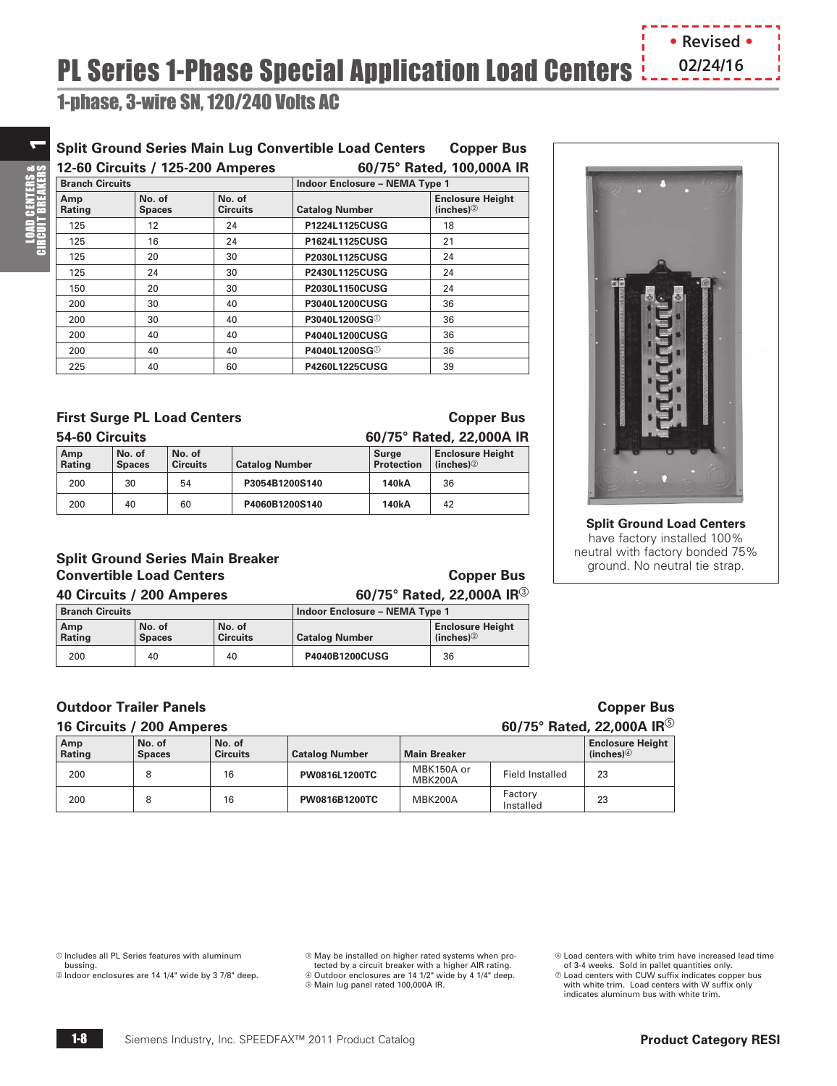<span id="page-7-0"></span>1-phase, 3-wire SN, 120/240 Volts AC

### **Split Ground Series Main Lug Convertible Load Centers Copper Bus**

| 12-60 Circuits / 125-200 Amperes |                         |                           | 60/75° Rated, 100,000A IR             |                                         |  |  |
|----------------------------------|-------------------------|---------------------------|---------------------------------------|-----------------------------------------|--|--|
| <b>Branch Circuits</b>           |                         |                           | <b>Indoor Enclosure - NEMA Type 1</b> |                                         |  |  |
| Amp<br>Rating                    | No. of<br><b>Spaces</b> | No. of<br><b>Circuits</b> | <b>Catalog Number</b>                 | <b>Enclosure Height</b><br>(inches) $@$ |  |  |
| 125                              | 12                      | 24                        | P1224L1125CUSG                        | 18                                      |  |  |
| 125                              | 16                      | 24                        | P1624L1125CUSG                        | 21                                      |  |  |
| 125                              | 20                      | 30                        | P2030L1125CUSG                        | 24                                      |  |  |
| 125                              | 24                      | 30                        | P2430L1125CUSG                        | 24                                      |  |  |
| 150                              | 20                      | 30                        | P2030L1150CUSG                        | 24                                      |  |  |
| 200                              | 30                      | 40                        | P3040L1200CUSG                        | 36                                      |  |  |
| 200                              | 30                      | 40                        | P3040L1200SG <sup>1</sup>             | 36                                      |  |  |
| 200                              | 40                      | 40                        | <b>P4040L1200CUSG</b>                 | 36                                      |  |  |
| 200                              | 40                      | 40                        | P4040L1200SG <sup>1</sup>             | 36                                      |  |  |
| 225                              | 40                      | 60                        | P4260L1225CUSG                        | 39                                      |  |  |

### **First Surge PL Load Centers Copper Bus**

| 54-60 Circuits |                         |                           |                       |                     | 60/75° Rated, 22,000A IR            |
|----------------|-------------------------|---------------------------|-----------------------|---------------------|-------------------------------------|
| Amp<br>Rating  | No. of<br><b>Spaces</b> | No. of<br><b>Circuits</b> | <b>Catalog Number</b> | Surge<br>Protection | <b>Enclosure Height</b><br>(inches) |
| 200            | 30                      | 54                        | P3054B1200S140        | 140 <sub>k</sub> A  | 36                                  |
| 200            | 40                      | 60                        | P4060B1200S140        | 140 <sub>k</sub> A  | 42                                  |

#### **Split Ground Series Main Breaker Convertible Load Centers** Copper Bus

**40 Circuits / 200 Amperes 60/75° Rated, 22,000A IR**<sup>c</sup>

|  | 40 Circuits / 200 Amperes |
|--|---------------------------|
|  |                           |

| <b>Branch Circuits</b> |                         |                           | Indoor Enclosure - NEMA Type 1 |                                         |  |
|------------------------|-------------------------|---------------------------|--------------------------------|-----------------------------------------|--|
| Amp<br>Rating          | No. of<br><b>Spaces</b> | No. of<br><b>Circuits</b> | <b>Catalog Number</b>          | <b>Enclosure Height</b><br>(inches) $@$ |  |
| 200                    | 40                      | 40                        | P4040B1200CUSG                 | 36                                      |  |

#### **Outdoor Trailer Panels Copper Bus**

| 16 Circuits / 200 Amperes |                         |                           |                       |                       |                      | 60/75° Rated, 22,000A IR $^{\circ}$                |
|---------------------------|-------------------------|---------------------------|-----------------------|-----------------------|----------------------|----------------------------------------------------|
| Amp<br>Rating             | No. of<br><b>Spaces</b> | No. of<br><b>Circuits</b> | <b>Catalog Number</b> | <b>Main Breaker</b>   |                      | <b>Enclosure Height</b><br>(inches) $\circledcirc$ |
| 200                       |                         | 16                        | PW0816L1200TC         | MBK150A or<br>MBK200A | Field Installed      | 23                                                 |
| 200                       | 8                       | 16                        | <b>PW0816B1200TC</b>  | MBK200A               | Factory<br>Installed | 23                                                 |

 $<sup>①</sup>$  Includes all PL Series features with aluminum</sup>

bussing.

b Indoor enclosures are 14 1/4" wide by 3 7/8" deep.

<sup>®</sup> May be installed on higher rated systems when protected by a circuit breaker with a higher AIR rating.<br>© Outdoor enclosures are 14 1/2" wide by 4 1/4" deep. e Main lug panel rated 100,000A IR.

Load centers with white trim have increased lead time

of 3-4 weeks. Sold in pallet quantities only. Load centers with CUW suffix indicates copper bus with white trim. Load centers with W suffix only indicates aluminum bus with white trim.

**Split Ground Load Centers** have factory installed 100%

neutral with factory bonded 75% ground. No neutral tie strap.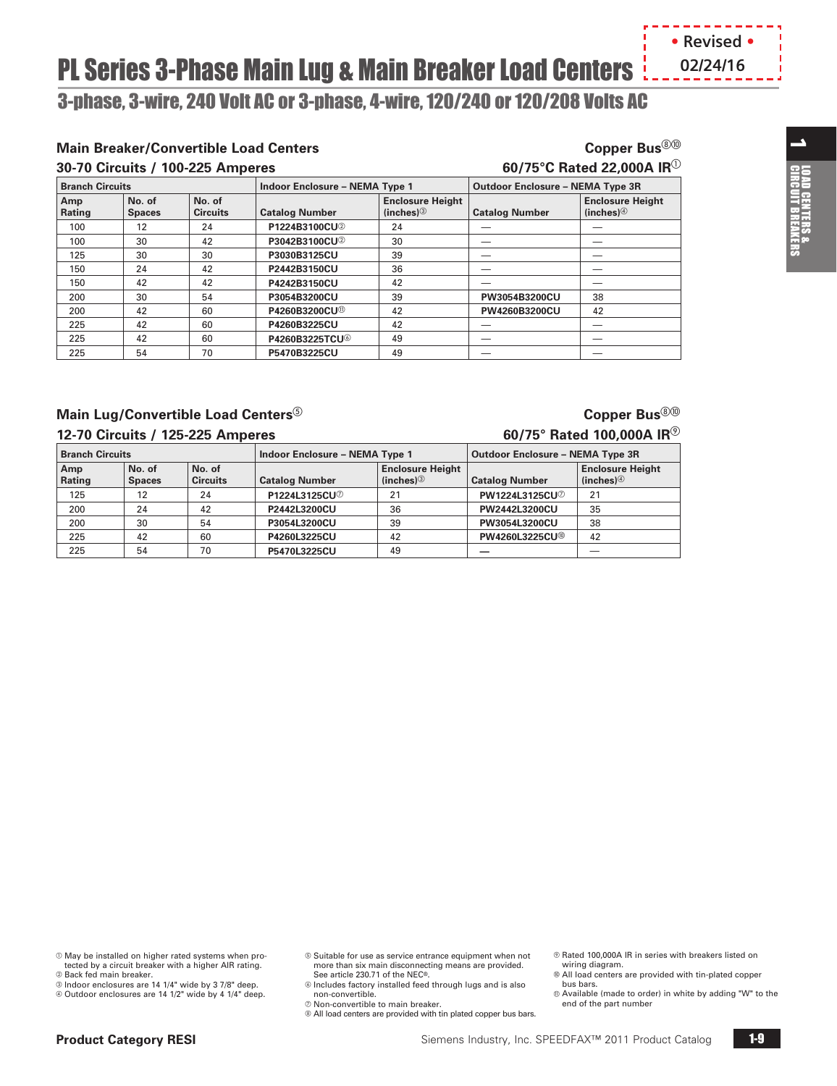# **PL Series 3-Phase Main Lug & Main Breaker Load Centers**  $\frac{1}{2}$  **... . . . . . . . . . . . .**

<span id="page-8-0"></span>3-phase, 3-wire, 240 Volt AC or 3-phase, 4-wire, 120/240 or 120/208 Volts AC

### **Main Breaker/Convertible Load Centers Copper Bus**  $\text{Copper Bus}^{\textcircled{\tiny 20}}$

**No. of** 

**Circuits Catalog Number**

225 42 60 **P4260B3225CU** 42 — —

225 | 54 | 70 | **P5470B3225CU** | 49

225 **42** 60 **P4260B3225TCU** 49 – — —

**No. of Spaces**

**Amp Rating**

**30-70 Circuits / 100-225 Amperes 60/75°C Rated 22,000A IR**<sup>a</sup> **Branch Circuits Indoor Enclosure – NEMA Type 1 Outdoor Enclosure – NEMA Type 3R Enclosure Height (inches)**<sup>3</sup> **Catalog Number Enclosure Height (inches)**d 100 | 12 | 24 | **P1224B3100CU**<sup>2</sup> | 24 | — 100 30 42 **P3042B3100CU**<sup>2</sup> 30 - — — 125 30 30 **P3030B3125CU** 39 - 1 150 24 42 **P2442B3150CU** 36 150 | 42 | 42 **P4242B3150CU** | 42 200 30 54 **P3054B3200CU** 39 **PW3054B3200CU** 38 200 42 60 **P4260B3200CU** 42 **PW4260B3200CU** 42

### **Main Lug/Convertible Load Centers**<sup> $\textcircled{\tiny{\textcircled{\tiny{}}}}$  **Copper Bus**  $\textcircled{\tiny{\textcircled{\tiny{}}}}$ </sup>

#### **12-70 Circuits / 125-225 Amperes 60/75° Rated 100,000A IR**

| <b>Branch Circuits</b> |                         |                           | <b>Indoor Enclosure - NEMA Type 1</b> |                                     | <b>Outdoor Enclosure - NEMA Type 3R</b> |                                     |  |
|------------------------|-------------------------|---------------------------|---------------------------------------|-------------------------------------|-----------------------------------------|-------------------------------------|--|
| Amp<br>Rating          | No. of<br><b>Spaces</b> | No. of<br><b>Circuits</b> | <b>Catalog Number</b>                 | <b>Enclosure Height</b><br>(inches) | <b>Catalog Number</b>                   | <b>Enclosure Height</b><br>(inches) |  |
| 125                    | 12                      | 24                        | P1224L3125CU <sup>2</sup>             | 21                                  | PW1224L3125CU2                          | 21                                  |  |
| 200                    | 24                      | 42                        | P2442L3200CU                          | 36                                  | PW2442L3200CU                           | 35                                  |  |
| 200                    | 30                      | 54                        | P3054L3200CU                          | 39                                  | PW3054L3200CU                           | 38                                  |  |
| 225                    | 42                      | 60                        | P4260L3225CU                          | 42                                  | PW4260L3225CU®                          | 42                                  |  |
| 225                    | 54                      | 70                        | P5470L3225CU                          | 49                                  |                                         |                                     |  |

#### $@$  May be installed on higher rated systems when protected by a circuit breaker with a higher AIR rating.

- **2 Back fed main breaker.**
- <sup>®</sup> Indoor enclosures are 14 1/4" wide by 3 7/8" deep.
- d Outdoor enclosures are 14 1/2" wide by 4 1/4" deep.
- $\circledast$  Suitable for use as service entrance equipment when not more than six main disconnecting means are provided. See article 230.71 of the NEC®.
- $@$  Includes factory installed feed through lugs and is also non-convertible.
- $\oslash$  Non-convertible to main breaker.  $@$  All load centers are provided with tin plated copper bus bars.
- $@$  Rated 100,000A IR in series with breakers listed on wiring diagram.
- All load centers are provided with tin-plated copper
- bus bars. Available (made to order) in white by adding "W" to the
- end of the part number

 $\overline{\phantom{a}}$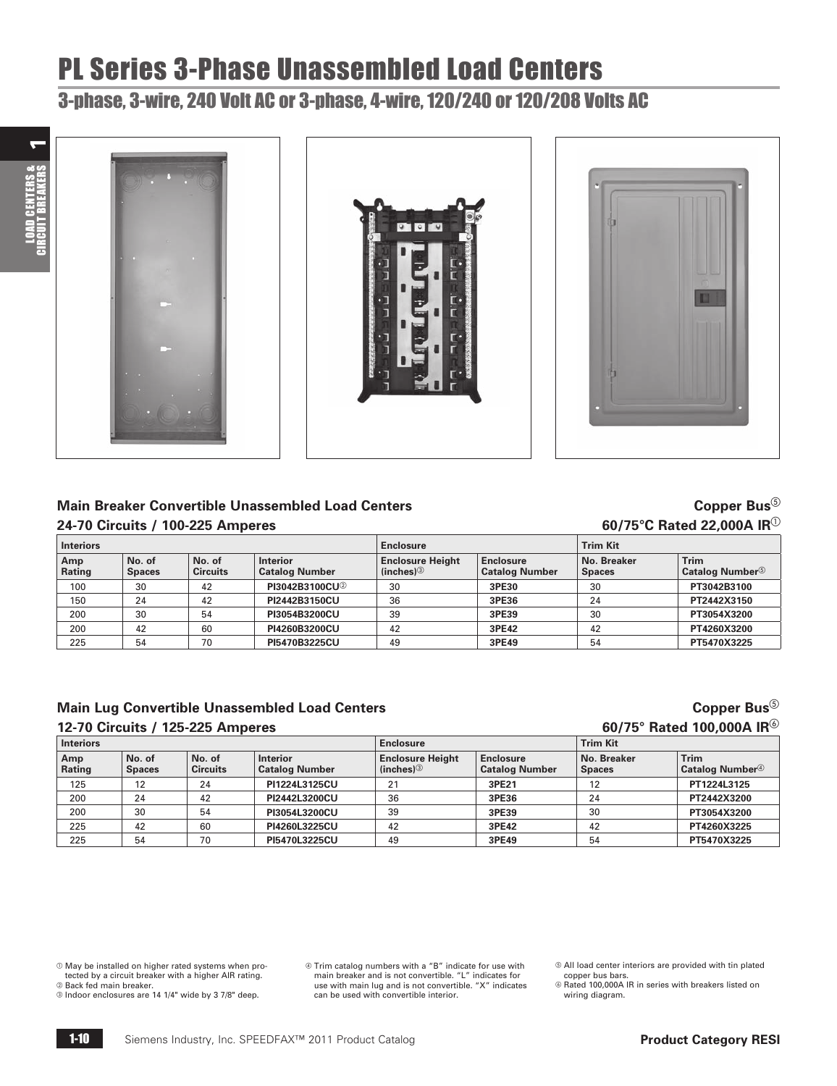# PL Series 3-Phase Unassembled Load Centers

## <span id="page-9-0"></span>3-phase, 3-wire, 240 Volt AC or 3-phase, 4-wire, 120/240 or 120/208 Volts AC









## ® Main Breaker Convertible Unassembled Load Centers<br>© Copper Busan of Copper Buse Copper Bus<br>© Circuits / 100-225 Amperes

|                  | 24-70 Circuits / 100-225 Amperes |                           |                                          |                                     | 60/75°C Rated 22,000A IR $^\circ$         |                              |                                                   |  |  |
|------------------|----------------------------------|---------------------------|------------------------------------------|-------------------------------------|-------------------------------------------|------------------------------|---------------------------------------------------|--|--|
| <b>Interiors</b> |                                  |                           |                                          | <b>Enclosure</b>                    |                                           | <b>Trim Kit</b>              |                                                   |  |  |
| Amp<br>Rating    | No. of<br><b>Spaces</b>          | No. of<br><b>Circuits</b> | <b>Interior</b><br><b>Catalog Number</b> | <b>Enclosure Height</b><br>(inches) | <b>Enclosure</b><br><b>Catalog Number</b> | No. Breaker<br><b>Spaces</b> | <b>Trim</b><br><b>Catalog Number</b> <sup>5</sup> |  |  |
| 100              | 30                               | 42                        | PI3042B3100CU2                           | 30                                  | 3PE30                                     | 30                           | PT3042B3100                                       |  |  |
| 150              | 24                               | 42                        | PI2442B3150CU                            | 36                                  | 3PE36                                     | 24                           | PT2442X3150                                       |  |  |
| 200              | 30                               | 54                        | PI3054B3200CU                            | 39                                  | 3PE39                                     | 30                           | PT3054X3200                                       |  |  |
| 200              | 42                               | 60                        | PI4260B3200CU                            | 42                                  | 3PE42                                     | 42                           | PT4260X3200                                       |  |  |
| 225              | 54                               | 70                        | PI5470B3225CU                            | 49                                  | 3PE49                                     | 54                           | PT5470X3225                                       |  |  |

### **Main Lug Convertible Unassembled Load Centers Copper Bus Copper Bus Copper Bus Copper Bus Copper Bus Copper Bus Copper Bus Copper Bus Copper Bus Copper Bus Copper Bus Copper Bus Copper Bus Copp**

#### **12-70 Circuits / 125-225 Amperes 60/75° Rated 100,000A IR**

| Interiors     |                         |                           |                                          | <b>Enclosure</b>                    |                                           | <b>Trim Kit</b>              |                                     |  |
|---------------|-------------------------|---------------------------|------------------------------------------|-------------------------------------|-------------------------------------------|------------------------------|-------------------------------------|--|
| Amp<br>Rating | No. of<br><b>Spaces</b> | No. of<br><b>Circuits</b> | <b>Interior</b><br><b>Catalog Number</b> | <b>Enclosure Height</b><br>(inches) | <b>Enclosure</b><br><b>Catalog Number</b> | No. Breaker<br><b>Spaces</b> | Trim<br>Catalog Number <sup>4</sup> |  |
| 125           | 12                      | 24                        | PI1224L3125CU                            | 21                                  | 3PE21                                     |                              | PT1224L3125                         |  |
| 200           | 24                      | 42                        | PI2442L3200CU                            | 36                                  | 3PE36                                     | 24                           | PT2442X3200                         |  |
| 200           | 30                      | 54                        | PI3054L3200CU                            | 39                                  | 3PE39                                     | 30                           | PT3054X3200                         |  |
| 225           | 42                      | 60                        | PI4260L3225CU                            | 42                                  | 3PE42                                     | 42                           | PT4260X3225                         |  |
| 225           | 54                      | 70                        | PI5470L3225CU                            | 49                                  | 3PE49                                     | 54                           | PT5470X3225                         |  |

 $\odot$  May be installed on higher rated systems when protected by a circuit breaker with a higher AIR rating.

**2 Back fed main breaker.** 

c Indoor enclosures are 14 1/4" wide by 3 7/8" deep.

d Trim catalog numbers with a "B" indicate for use with main breaker and is not convertible. "L" indicates for use with main lug and is not convertible. "X" indicates can be used with convertible interior.

 $@$  All load center interiors are provided with tin plated copper bus bars.

 Rated 100,000A IR in series with breakers listed on wiring diagram.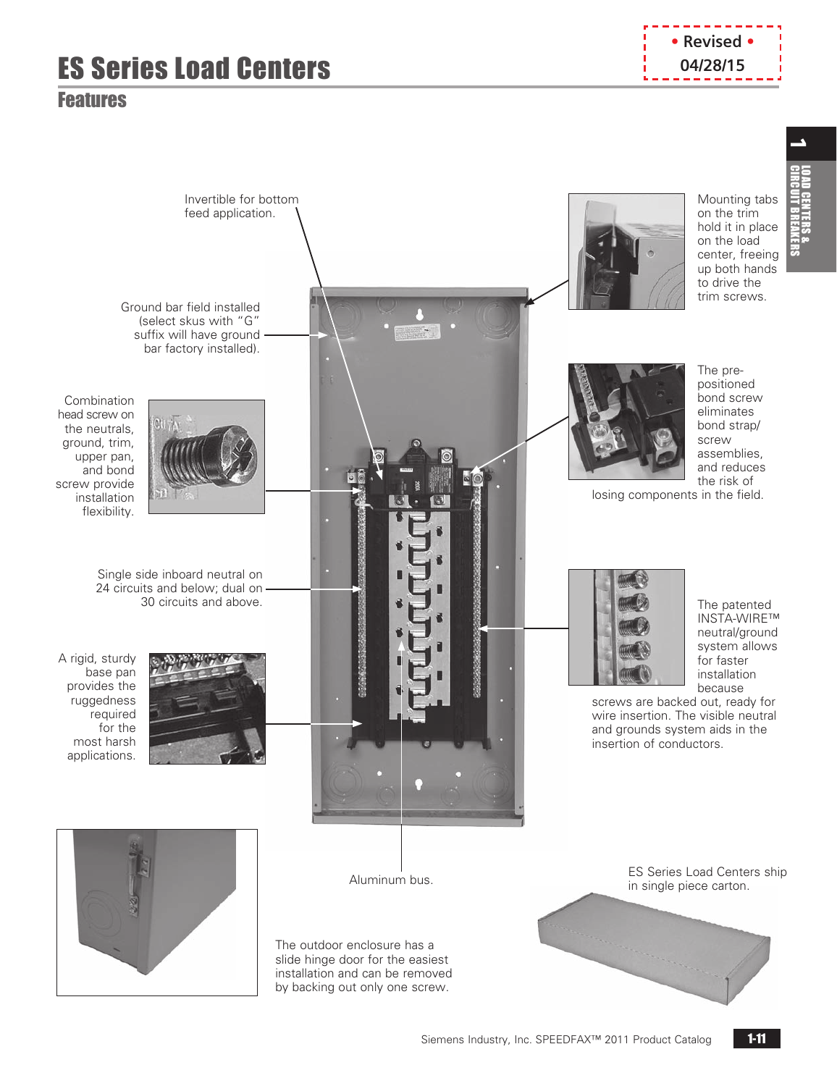# **ES Series Load Centers Cancel Centers Cancel 20128/15**

## <span id="page-10-0"></span>Features



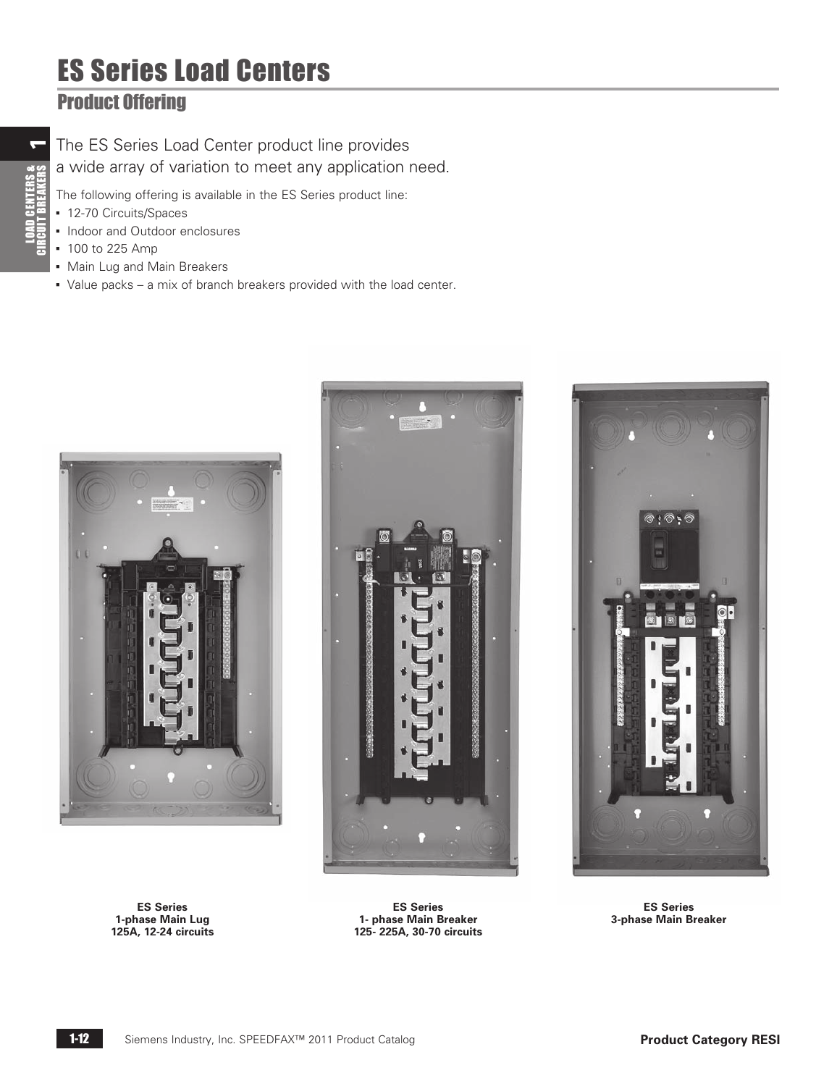# ES Series Load Centers

## <span id="page-11-0"></span>Product Offering

The ES Series Load Center product line provides a wide array of variation to meet any application need.

The following offering is available in the ES Series product line:

- 12-70 Circuits/Spaces
- Indoor and Outdoor enclosures
- 100 to 225 Amp
- **Main Lug and Main Breakers**
- Value packs a mix of branch breakers provided with the load center.

![](_page_11_Picture_9.jpeg)

**ES Series 1-phase Main Lug 125A, 12-24 circuits**

![](_page_11_Picture_11.jpeg)

**ES Series 1- phase Main Breaker 125- 225A, 30-70 circuits**

![](_page_11_Picture_13.jpeg)

**ES Series 3-phase Main Breaker**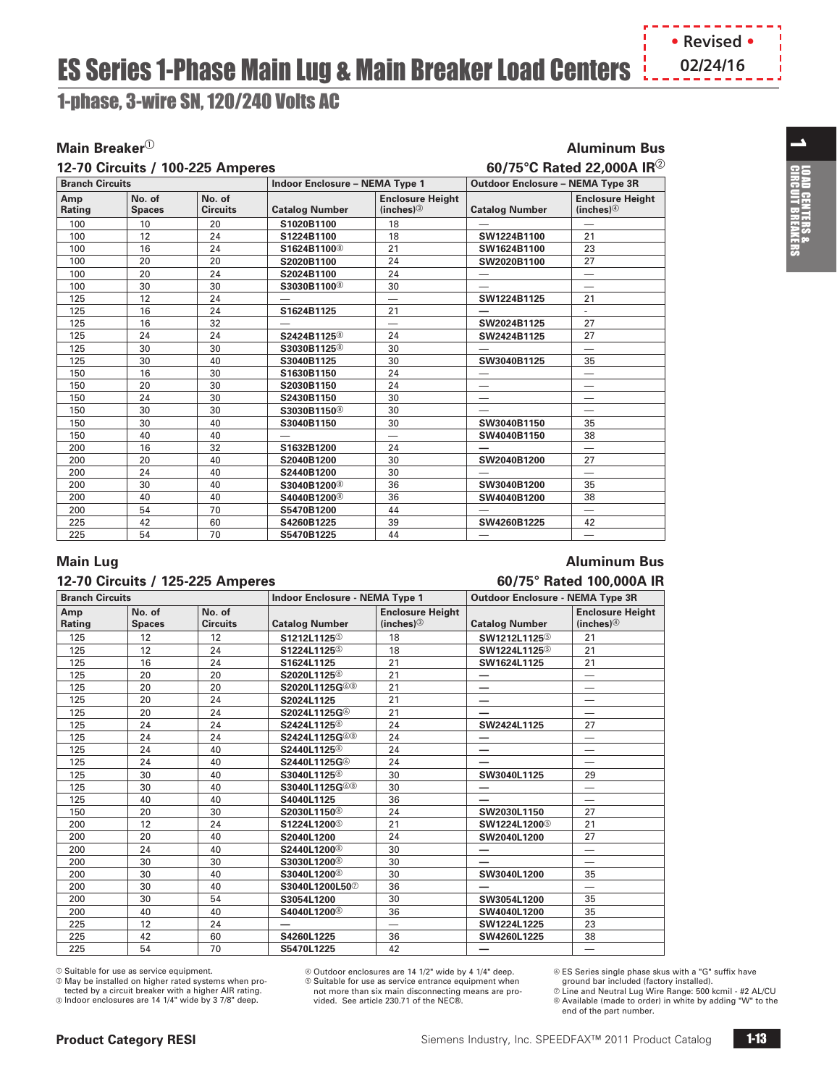# **ES Series 1-Phase Main Lug & Main Breaker Load Centers**  $\frac{1}{2}$ **, 02/24/16**

<span id="page-12-0"></span>1-phase, 3-wire SN, 120/240 Volts AC

### **Main Breaker** $^{\circ}$  **Aluminum Bus**

|  | 12-70 Circuits / 100-225 Amperes |  |
|--|----------------------------------|--|
|  |                                  |  |

## $12.5$  **12-70 Circuits / 100-225 Ample 100-22,000 Circuits**  $60/75^{\circ}$ **C Rated 22,000A IR** $^{\circledR}$

| <b>Branch Circuits</b> |                         |                           | <b>Indoor Enclosure - NEMA Type 1</b> |                                                    | <b>Outdoor Enclosure - NEMA Type 3R</b> |                                     |  |
|------------------------|-------------------------|---------------------------|---------------------------------------|----------------------------------------------------|-----------------------------------------|-------------------------------------|--|
| Amp<br><b>Rating</b>   | No. of<br><b>Spaces</b> | No. of<br><b>Circuits</b> | <b>Catalog Number</b>                 | <b>Enclosure Height</b><br>(inches) $\circledcirc$ | <b>Catalog Number</b>                   | <b>Enclosure Height</b><br>(inches) |  |
| 100                    | 10                      | 20                        | S1020B1100                            | 18                                                 |                                         | —                                   |  |
| 100                    | 12                      | 24                        | S1224B1100                            | 18                                                 | SW1224B1100                             | 21                                  |  |
| 100                    | 16                      | 24                        | S1624B1100 <sup>®</sup>               | 21                                                 | SW1624B1100                             | 23                                  |  |
| 100                    | 20                      | 20                        | S2020B1100                            | 24                                                 | SW2020B1100                             | 27                                  |  |
| 100                    | 20                      | 24                        | S2024B1100                            | 24                                                 | —                                       |                                     |  |
| 100                    | 30                      | 30                        | S3030B1100 <sup>®</sup>               | 30                                                 |                                         |                                     |  |
| 125                    | 12                      | 24                        |                                       | $\overline{\phantom{0}}$                           | SW1224B1125                             | 21                                  |  |
| 125                    | 16                      | 24                        | S1624B1125                            | 21                                                 |                                         | ٠                                   |  |
| 125                    | 16                      | 32                        | -                                     | $\overline{\phantom{0}}$                           | SW2024B1125                             | 27                                  |  |
| 125                    | 24                      | 24                        | S2424B1125 <sup>®</sup>               | 24                                                 | SW2424B1125                             | 27                                  |  |
| 125                    | 30                      | 30                        | S3030B1125 <sup>®</sup>               | 30                                                 |                                         | $\overline{\phantom{0}}$            |  |
| 125                    | 30                      | 40                        | S3040B1125                            | 30                                                 | SW3040B1125                             | 35                                  |  |
| 150                    | 16                      | 30                        | S1630B1150                            | 24                                                 |                                         | —                                   |  |
| 150                    | 20                      | 30                        | S2030B1150                            | 24                                                 |                                         |                                     |  |
| 150                    | 24                      | 30                        | S2430B1150                            | 30                                                 |                                         |                                     |  |
| 150                    | 30                      | 30                        | S3030B1150 <sup>®</sup>               | 30                                                 |                                         | -                                   |  |
| 150                    | 30                      | 40                        | S3040B1150                            | 30                                                 | SW3040B1150                             | 35                                  |  |
| 150                    | 40                      | 40                        |                                       |                                                    | SW4040B1150                             | 38                                  |  |
| 200                    | 16                      | 32                        | S1632B1200                            | 24                                                 |                                         | -                                   |  |
| 200                    | 20                      | 40                        | S2040B1200                            | 30                                                 | SW2040B1200                             | 27                                  |  |
| 200                    | 24                      | 40                        | S2440B1200                            | 30                                                 |                                         | $\overline{\phantom{0}}$            |  |
| 200                    | 30                      | 40                        | S3040B1200 <sup>®</sup>               | 36                                                 | SW3040B1200                             | 35                                  |  |
| 200                    | 40                      | 40                        | S4040B1200 <sup>®</sup>               | 36                                                 | SW4040B1200                             | 38                                  |  |
| 200                    | 54                      | 70                        | S5470B1200                            | 44                                                 |                                         | $\overline{\phantom{0}}$            |  |
| 225                    | 42                      | 60                        | S4260B1225                            | 39                                                 | SW4260B1225                             | 42                                  |  |
| 225                    | 54                      | 70                        | S5470B1225                            | 44                                                 | -                                       | $\overline{\phantom{0}}$            |  |

#### **12-70 Circuits / 125-225 Amperes 60/75° Rated 100,000A IR**

## **Main Lug Aluminum Bus**

| <b>Branch Circuits</b> |                         |                           | <b>Indoor Enclosure - NEMA Type 1</b> |                                     | <b>Outdoor Enclosure - NEMA Type 3R</b> |                                                    |  |
|------------------------|-------------------------|---------------------------|---------------------------------------|-------------------------------------|-----------------------------------------|----------------------------------------------------|--|
| Amp<br>Rating          | No. of<br><b>Spaces</b> | No. of<br><b>Circuits</b> | <b>Catalog Number</b>                 | <b>Enclosure Height</b><br>(inches) | <b>Catalog Number</b>                   | <b>Enclosure Height</b><br>(inches) $\circledcirc$ |  |
| 125                    | 12                      | 12                        | S1212L1125 <sup>6</sup>               | 18                                  | SW1212L1125 <sup>6</sup>                | 21                                                 |  |
| 125                    | 12                      | 24                        | S1224L1125 <sup>6</sup>               | 18                                  | SW1224L1125 <sup>6</sup>                | 21                                                 |  |
| 125                    | 16                      | 24                        | S1624L1125                            | 21                                  | SW1624L1125                             | 21                                                 |  |
| 125                    | 20                      | 20                        | S2020L1125 <sup>®</sup>               | 21                                  | $\qquad \qquad \longleftarrow$          |                                                    |  |
| 125                    | 20                      | 20                        | S2020L1125G <sup>6</sup> ®            | 21                                  | —                                       |                                                    |  |
| 125                    | 20                      | 24                        | S2024L1125                            | 21                                  | —                                       | $\overline{\phantom{0}}$                           |  |
| 125                    | 20                      | 24                        | S2024L1125G <sup></sup>               | 21                                  |                                         |                                                    |  |
| 125                    | 24                      | 24                        | S2424L1125 <sup>®</sup>               | 24                                  | SW2424L1125                             | 27                                                 |  |
| 125                    | 24                      | 24                        | S2424L1125G <sup>6</sup> ®            | 24                                  |                                         |                                                    |  |
| 125                    | 24                      | 40                        | S2440L1125 <sup>®</sup>               | 24                                  |                                         | $\overline{\phantom{0}}$                           |  |
| 125                    | 24                      | 40                        | S2440L1125G <sup>6</sup>              | 24                                  |                                         |                                                    |  |
| 125                    | 30                      | 40                        | S3040L1125 <sup>®</sup>               | 30                                  | SW3040L1125                             | 29                                                 |  |
| 125                    | 30                      | 40                        | S3040L1125G <sup>6</sup> ®            | 30                                  |                                         |                                                    |  |
| 125                    | 40                      | 40                        | S4040L1125                            | 36                                  |                                         | $\overline{\phantom{0}}$                           |  |
| 150                    | 20                      | 30                        | S2030L1150 <sup>®</sup>               | 24                                  | SW2030L1150                             | 27                                                 |  |
| 200                    | 12                      | 24                        | S1224L1200 <sup>6</sup>               | 21                                  | SW1224L1200 <sup>®</sup>                | 21                                                 |  |
| 200                    | 20                      | 40                        | S2040L1200                            | 24                                  | SW2040L1200                             | 27                                                 |  |
| 200                    | 24                      | 40                        | S2440L1200 <sup>®</sup>               | 30                                  | —                                       | —                                                  |  |
| 200                    | 30                      | 30                        | S3030L1200 <sup>®</sup>               | 30                                  |                                         |                                                    |  |
| 200                    | 30                      | 40                        | S3040L1200 <sup>®</sup>               | 30                                  | SW3040L1200                             | 35                                                 |  |
| 200                    | 30                      | 40                        | S3040L1200L50 <sup>2</sup>            | 36                                  |                                         |                                                    |  |
| 200                    | 30                      | 54                        | S3054L1200                            | 30                                  | SW3054L1200                             | 35                                                 |  |
| 200                    | 40                      | 40                        | S4040L1200 <sup>®</sup>               | 36                                  | SW4040L1200                             | 35                                                 |  |
| 225                    | 12                      | 24                        | —                                     | $\overline{\phantom{0}}$            | SW1224L1225                             | 23                                                 |  |
| 225                    | 42                      | 60                        | S4260L1225                            | 36                                  | SW4260L1225                             | 38                                                 |  |
| 225                    | 54                      | 70                        | S5470L1225                            | 42                                  |                                         | —                                                  |  |

 $@$  Suitable for use as service equipment.

b May be installed on higher rated systems when protected by a circuit breaker with a higher AIR rating.

 $\degree$  Indoor enclosures are 14 1/4" wide by 3 7/8" deep.

d Outdoor enclosures are 14 1/2" wide by 4 1/4" deep.  $\circ$  Suitable for use as service entrance equipment when not more than six main disconnecting means are provided. See article 230.71 of the NEC®.

 ES Series single phase skus with a "G" suffix have ground bar included (factory installed).

 Line and Neutral Lug Wire Range: 500 kcmil - #2 AL/CU Available (made to order) in white by adding "W" to the end of the part number.

 $\overline{\phantom{a}}$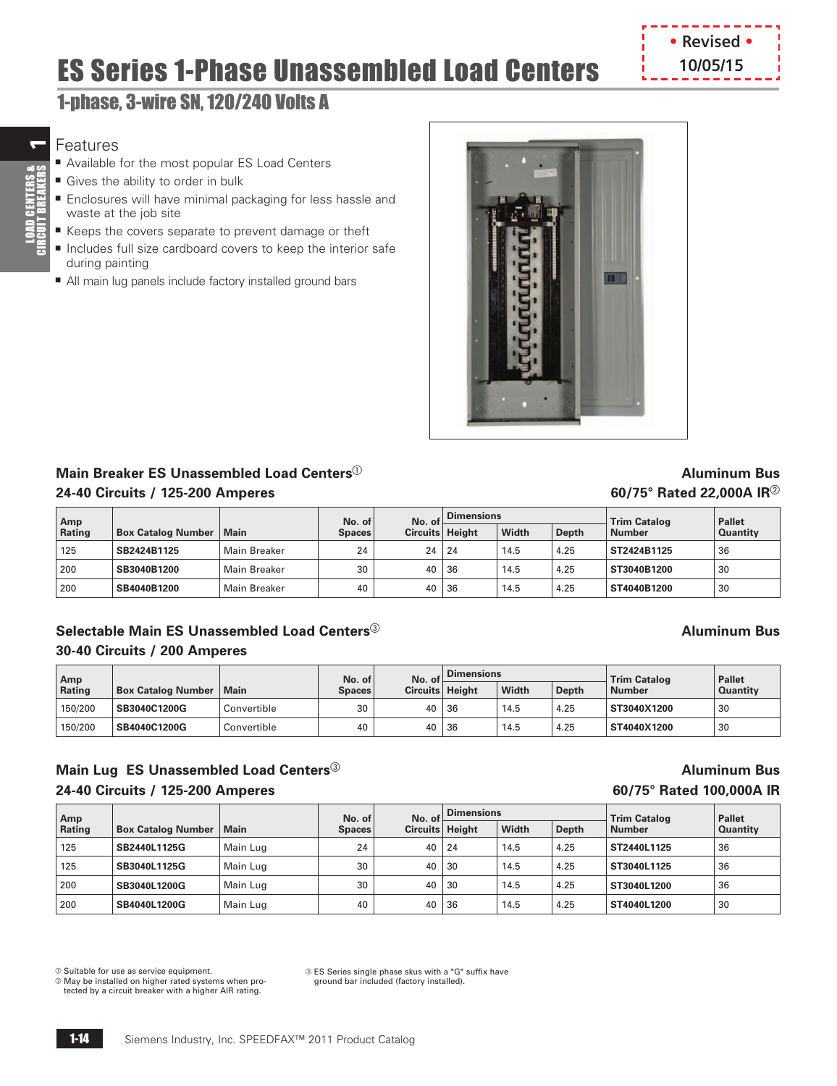# ES Series 1-Phase Unassembled Load Centers

## 1-phase, 3-wire SN, 120/240 Volts A

## Features

 $\overline{ }$ 

LOAD CENTERS &<br>CIRCUIT BREAKERS

- Available for the most popular ES Load Centers
- Gives the ability to order in bulk
- Enclosures will have minimal packaging for less hassle and waste at the job site
- Keeps the covers separate to prevent damage or theft
- Includes full size cardboard covers to keep the interior safe during painting
- All main lug panels include factory installed ground bars

![](_page_13_Picture_9.jpeg)

### **Main Breaker ES Unassembled Load Centers**<sup>a</sup> **Aluminum Bus 24-40 Circuits / 125-200 Amperes 60/75° Rated 22,000A IR**<sup>b</sup>

**• Revised • 10/05/15**

| Amp    |                           | No. of<br>No. of    |                                    | <b>Dimensions</b> |    |              | <b>Trim Catalog</b> | <b>Pallet</b> |                 |
|--------|---------------------------|---------------------|------------------------------------|-------------------|----|--------------|---------------------|---------------|-----------------|
| Rating | <b>Box Catalog Number</b> | Main                | Circuits   Height<br><b>Spaces</b> |                   |    | <b>Width</b> | <b>Depth</b>        | <b>Number</b> | <b>Quantity</b> |
| 125    | SB2424B1125               | Main Breaker        | 24                                 | $24 \mid 24$      |    | 14.5         | 4.25                | ST2424B1125   | 36              |
| 200    | SB3040B1200               | Main Breaker        | 30                                 | 40                | 36 | 14.5         | 4.25                | ST3040B1200   | 30              |
| 200    | SB4040B1200               | <b>Main Breaker</b> | 40                                 | 40                | 36 | 14.5         | 4.25                | ST4040B1200   | 30              |

### **Selectable Main ES Unassembled Load Centers**® **Aluminum Bus Aluminum Bus 30-40 Circuits / 200 Amperes**

| Amp           |                           |             | No. of<br>No. of |                   | <b>Dimensions</b> |              |              | <b>Trim Catalog</b> | <b>Pallet</b>   |
|---------------|---------------------------|-------------|------------------|-------------------|-------------------|--------------|--------------|---------------------|-----------------|
| <b>Rating</b> | <b>Box Catalog Number</b> | ∣Main       | <b>Spaces</b>    | Circuits   Height |                   | <b>Width</b> | <b>Depth</b> | <b>Number</b>       | <b>Quantity</b> |
| 150/200       | SB3040C1200G              | Convertible | 30               | $40 \mid 36$      |                   | 14.5         | 4.25         | ST3040X1200         | 30              |
| 150/200       | SB4040C1200G              | Convertible | 40               | 40 <sup>1</sup>   | 36                | 14.5         | 4.25         | ST4040X1200         | 30              |

### **Main Lug ES Unassembled Load Centers**<sup>c</sup> **Aluminum Bus 24-40 Circuits / 125-200 Amperes 60/75° Rated 100,000A IR**

| Amp    |                           |          | No. of        | No. of            | <b>Dimensions</b> |       |       | <b>Trim Catalog</b> | <b>Pallet</b>   |
|--------|---------------------------|----------|---------------|-------------------|-------------------|-------|-------|---------------------|-----------------|
| Rating | <b>Box Catalog Number</b> | Main     | <b>Spaces</b> | Circuits   Height |                   | Width | Depth | Number              | <b>Quantity</b> |
| 125    | SB2440L1125G              | Main Lug | 24            |                   | $40 \mid 24$      | 14.5  | 4.25  | ST2440L1125         | 36              |
| 125    | SB3040L1125G              | Main Lug | 30            | 40                | . 30              | 14.5  | 4.25  | ST3040L1125         | 36              |
| 200    | SB3040L1200G              | Main Lug | 30            | $40 \mid 30$      |                   | 14.5  | 4.25  | ST3040L1200         | 36              |
| 200    | SB4040L1200G              | Main Lug | 40            | 40                | 36                | 14.5  | 4.25  | ST4040L1200         | 30              |

 $\odot$  Suitable for use as service equipment.

b May be installed on higher rated systems when protected by a circuit breaker with a higher AIR rating.

c ES Series single phase skus with a "G" suffix have ground bar included (factory installed).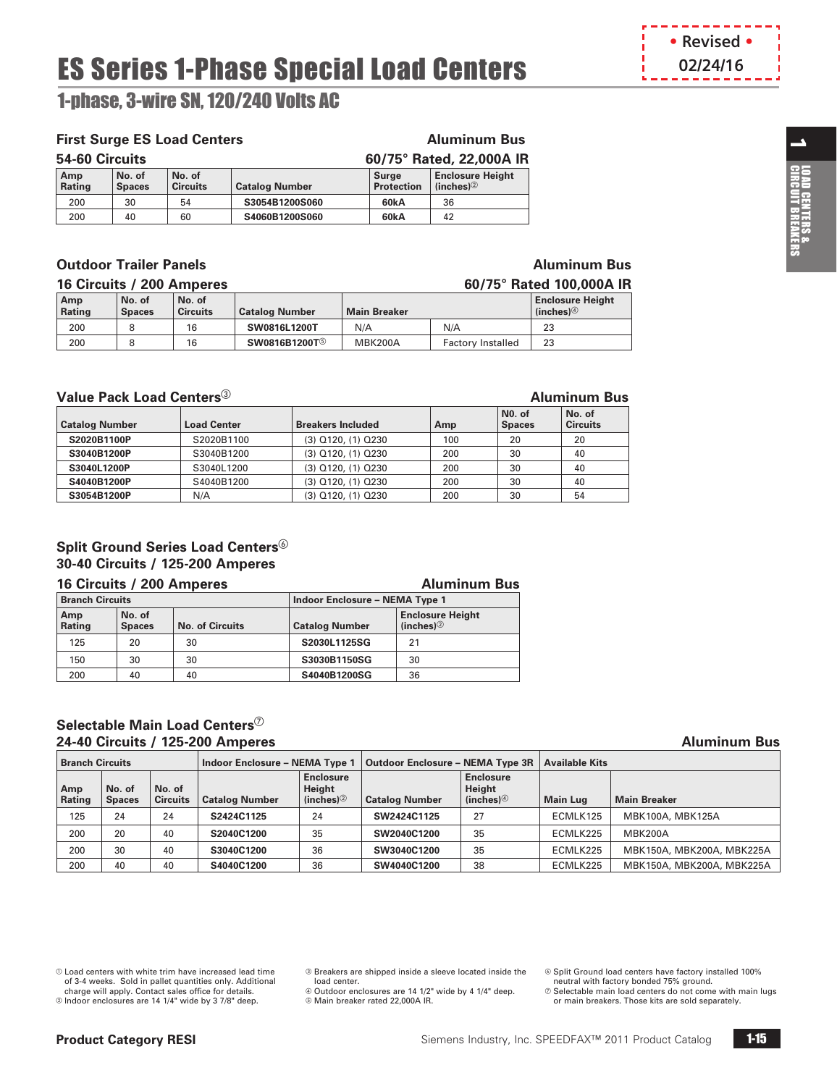# ES Series 1-Phase Special Load Centers

<span id="page-14-0"></span>1-phase, 3-wire SN, 120/240 Volts AC

### **First Surge ES Load Centers Aluminum Bus**

| 54-60 Circuits       |                         |                           |                       | 60/75° Rated, 22,000A IR   |                                         |  |  |
|----------------------|-------------------------|---------------------------|-----------------------|----------------------------|-----------------------------------------|--|--|
| Amp<br><b>Rating</b> | No. of<br><b>Spaces</b> | No. of<br><b>Circuits</b> | <b>Catalog Number</b> | Surge<br><b>Protection</b> | <b>Enclosure Height</b><br>(inches) $@$ |  |  |
| 200                  | 30                      | 54                        | S3054B1200S060        | 60kA                       | 36                                      |  |  |
| 200                  | 40                      | 60                        | S4060B1200S060        | 60kA                       | 42                                      |  |  |

#### **Outdoor Trailer Panels Aluminum Bus Aluminum Bus**

|               | 16 Circuits / 200 Amperes<br>60/75° Rated 100,000A IR |                           |                           |                     |                                                    |    |  |
|---------------|-------------------------------------------------------|---------------------------|---------------------------|---------------------|----------------------------------------------------|----|--|
| Amp<br>Rating | No. of<br><b>Spaces</b>                               | No. of<br><b>Circuits</b> | <b>Catalog Number</b>     | <b>Main Breaker</b> | <b>Enclosure Height</b><br>(inches) $\circledcirc$ |    |  |
| 200           |                                                       | 16                        | SW0816L1200T              | N/A                 | N/A                                                | 23 |  |
| 200           |                                                       | 16                        | SW0816B1200T <sup>5</sup> | MBK200A             | <b>Factory Installed</b>                           | 23 |  |

#### **Value Pack Load Centers** $^{\circledR}$  **Aluminum Bus**

| <b>Catalog Number</b> | <b>Load Center</b> | <b>Breakers Included</b> | Amp | N <sub>0</sub> . of<br><b>Spaces</b> | No. of<br><b>Circuits</b> |
|-----------------------|--------------------|--------------------------|-----|--------------------------------------|---------------------------|
| S2020B1100P           | S2020B1100         | (3) Q120, (1) Q230       | 100 | 20                                   | 20                        |
| S3040B1200P           | S3040B1200         | (3) Q120, (1) Q230       | 200 | 30                                   | 40                        |
| S3040L1200P           | S3040L1200         | (3) Q120, (1) Q230       | 200 | 30                                   | 40                        |
| S4040B1200P           | S4040B1200         | (3) Q120, (1) Q230       | 200 | 30                                   | 40                        |
| S3054B1200P           | N/A                | (3) Q120, (1) Q230       | 200 | 30                                   | 54                        |

### **Split Ground Series Load Centers 30-40 Circuits / 125-200 Amperes**

#### **16 Circuits / 200 Amperes Aluminum Bus Branch Circuits Indoor Enclosure – NEMA Type 1 Amp Rating No. of Spaces No. of Circuits Catalog Number Enclosure Height (inches)**b 125 20 30 **S2030L1125SG** 21 150 30 30 **S3030B1150SG** 30 200 40 40 **S4040B1200SG** 36

#### **Selectable Main Load Centers 24-40 Circuits / 125-200 Amperes Aluminum Bus**

| <b>Branch Circuits</b> |                         |                           |                       |                                                       | Indoor Enclosure – NEMA Type 1   Outdoor Enclosure – NEMA Type 3R |                                                       | <b>Available Kits</b> |                           |
|------------------------|-------------------------|---------------------------|-----------------------|-------------------------------------------------------|-------------------------------------------------------------------|-------------------------------------------------------|-----------------------|---------------------------|
| Amp<br>Rating          | No. of<br><b>Spaces</b> | No. of<br><b>Circuits</b> | <b>Catalog Number</b> | <b>Enclosure</b><br>Height<br>(inches) $\circledcirc$ | <b>Catalog Number</b>                                             | <b>Enclosure</b><br>Height<br>(inches) $\circledcirc$ | <b>Main Lug</b>       | <b>Main Breaker</b>       |
| 125                    | 24                      | 24                        | S2424C1125            | 24                                                    | SW2424C1125                                                       | 27                                                    | ECMLK125              | MBK100A, MBK125A          |
| 200                    | 20                      | 40                        | S2040C1200            | 35                                                    | SW2040C1200                                                       | 35                                                    | ECMLK225              | <b>MBK200A</b>            |
| 200                    | 30                      | 40                        | S3040C1200            | 36                                                    | SW3040C1200                                                       | 35                                                    | ECMLK225              | MBK150A, MBK200A, MBK225A |
| 200                    | 40                      | 40                        | S4040C1200            | 36                                                    | SW4040C1200                                                       | 38                                                    | ECMLK225              | MBK150A, MBK200A, MBK225A |

 $@$  Load centers with white trim have increased lead time of 3-4 weeks. Sold in pallet quantities only. Additional

charge will apply. Contact sales office for details.<br>© Indoor enclosures are 14 1/4" wide by 3 7/8" deep.

c Breakers are shipped inside a sleeve located inside the load center.

d Outdoor enclosures are 14 1/2" wide by 4 1/4" deep.  $@$  Main breaker rated 22,000A IR.

- Split Ground load centers have factory installed 100% neutral with factory bonded 75% ground.
- 
- $\oslash$  Selectable main load centers do not come with main lugs or main breakers. Those kits are sold separately.

![](_page_14_Picture_27.jpeg)